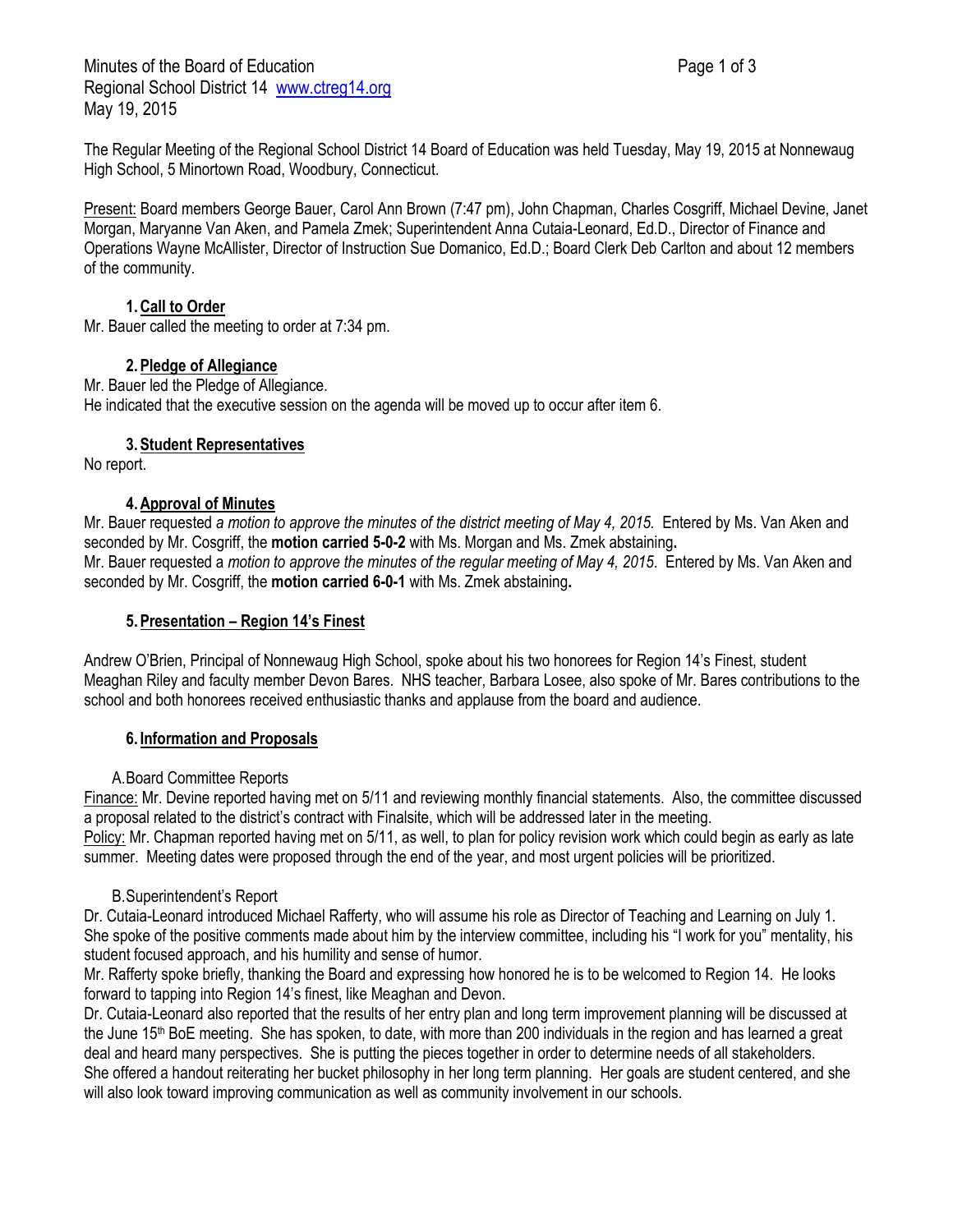Minutes of the Board of Education **Page 1 of 3** Page 1 of 3 Regional School District 14 [www.ctreg14.org](http://www.ctreg14.org/) May 19, 2015

The Regular Meeting of the Regional School District 14 Board of Education was held Tuesday, May 19, 2015 at Nonnewaug High School, 5 Minortown Road, Woodbury, Connecticut.

Present: Board members George Bauer, Carol Ann Brown (7:47 pm), John Chapman, Charles Cosgriff, Michael Devine, Janet Morgan, Maryanne Van Aken, and Pamela Zmek; Superintendent Anna Cutaia-Leonard, Ed.D., Director of Finance and Operations Wayne McAllister, Director of Instruction Sue Domanico, Ed.D.; Board Clerk Deb Carlton and about 12 members of the community.

# **1.Call to Order**

Mr. Bauer called the meeting to order at 7:34 pm.

## **2.Pledge of Allegiance**

Mr. Bauer led the Pledge of Allegiance. He indicated that the executive session on the agenda will be moved up to occur after item 6.

# **3.Student Representatives**

No report.

## **4.Approval of Minutes**

Mr. Bauer requested *a motion to approve the minutes of the district meeting of May 4, 2015.* Entered by Ms. Van Aken and seconded by Mr. Cosgriff, the **motion carried 5-0-2** with Ms. Morgan and Ms. Zmek abstaining**.** Mr. Bauer requested a *motion to approve the minutes of the regular meeting of May 4, 2015*. Entered by Ms. Van Aken and seconded by Mr. Cosgriff, the **motion carried 6-0-1** with Ms. Zmek abstaining**.**

#### **5.Presentation – Region 14's Finest**

Andrew O'Brien, Principal of Nonnewaug High School, spoke about his two honorees for Region 14's Finest, student Meaghan Riley and faculty member Devon Bares. NHS teacher, Barbara Losee, also spoke of Mr. Bares contributions to the school and both honorees received enthusiastic thanks and applause from the board and audience.

#### **6. Information and Proposals**

#### A.Board Committee Reports

Finance: Mr. Devine reported having met on 5/11 and reviewing monthly financial statements. Also, the committee discussed a proposal related to the district's contract with Finalsite, which will be addressed later in the meeting.

Policy: Mr. Chapman reported having met on 5/11, as well, to plan for policy revision work which could begin as early as late summer. Meeting dates were proposed through the end of the year, and most urgent policies will be prioritized.

#### B.Superintendent's Report

Dr. Cutaia-Leonard introduced Michael Rafferty, who will assume his role as Director of Teaching and Learning on July 1. She spoke of the positive comments made about him by the interview committee, including his "I work for you" mentality, his student focused approach, and his humility and sense of humor.

Mr. Rafferty spoke briefly, thanking the Board and expressing how honored he is to be welcomed to Region 14. He looks forward to tapping into Region 14's finest, like Meaghan and Devon.

Dr. Cutaia-Leonard also reported that the results of her entry plan and long term improvement planning will be discussed at the June 15<sup>th</sup> BoE meeting. She has spoken, to date, with more than 200 individuals in the region and has learned a great deal and heard many perspectives. She is putting the pieces together in order to determine needs of all stakeholders. She offered a handout reiterating her bucket philosophy in her long term planning. Her goals are student centered, and she will also look toward improving communication as well as community involvement in our schools.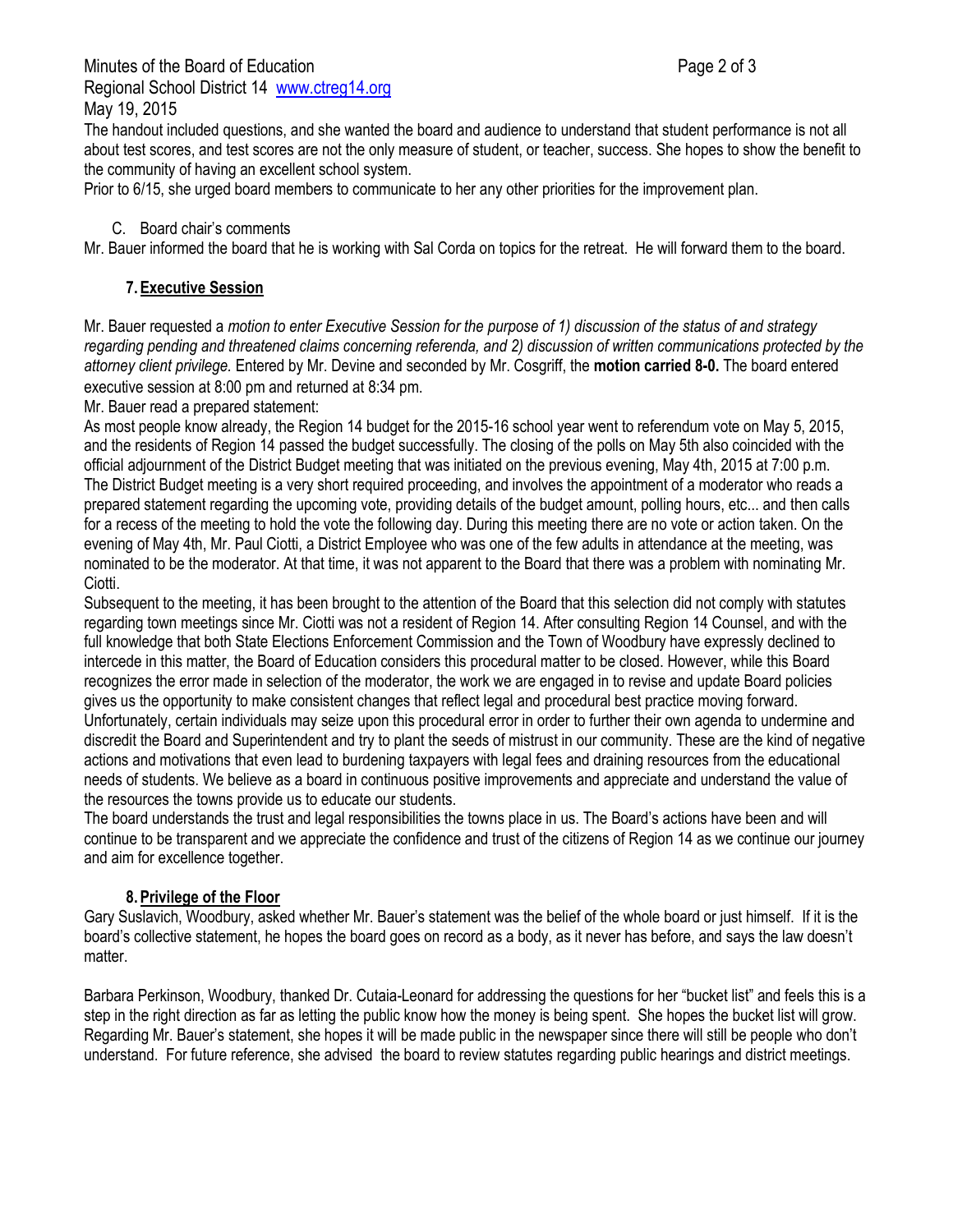Minutes of the Board of Education **Page 2 of 3** and 2 of 3 Regional School District 14 [www.ctreg14.org](http://www.ctreg14.org/) May 19, 2015

The handout included questions, and she wanted the board and audience to understand that student performance is not all about test scores, and test scores are not the only measure of student, or teacher, success. She hopes to show the benefit to the community of having an excellent school system.

Prior to 6/15, she urged board members to communicate to her any other priorities for the improvement plan.

C. Board chair's comments

Mr. Bauer informed the board that he is working with Sal Corda on topics for the retreat. He will forward them to the board.

# **7.Executive Session**

Mr. Bauer requested a *motion to enter Executive Session for the purpose of 1) discussion of the status of and strategy regarding pending and threatened claims concerning referenda, and 2) discussion of written communications protected by the attorney client privilege.* Entered by Mr. Devine and seconded by Mr. Cosgriff, the **motion carried 8-0.** The board entered executive session at 8:00 pm and returned at 8:34 pm.

Mr. Bauer read a prepared statement:

As most people know already, the Region 14 budget for the 2015-16 school year went to referendum vote on May 5, 2015, and the residents of Region 14 passed the budget successfully. The closing of the polls on May 5th also coincided with the official adjournment of the District Budget meeting that was initiated on the previous evening, May 4th, 2015 at 7:00 p.m. The District Budget meeting is a very short required proceeding, and involves the appointment of a moderator who reads a prepared statement regarding the upcoming vote, providing details of the budget amount, polling hours, etc... and then calls for a recess of the meeting to hold the vote the following day. During this meeting there are no vote or action taken. On the evening of May 4th, Mr. Paul Ciotti, a District Employee who was one of the few adults in attendance at the meeting, was nominated to be the moderator. At that time, it was not apparent to the Board that there was a problem with nominating Mr. Ciotti.

Subsequent to the meeting, it has been brought to the attention of the Board that this selection did not comply with statutes regarding town meetings since Mr. Ciotti was not a resident of Region 14. After consulting Region 14 Counsel, and with the full knowledge that both State Elections Enforcement Commission and the Town of Woodbury have expressly declined to intercede in this matter, the Board of Education considers this procedural matter to be closed. However, while this Board recognizes the error made in selection of the moderator, the work we are engaged in to revise and update Board policies gives us the opportunity to make consistent changes that reflect legal and procedural best practice moving forward. Unfortunately, certain individuals may seize upon this procedural error in order to further their own agenda to undermine and discredit the Board and Superintendent and try to plant the seeds of mistrust in our community. These are the kind of negative actions and motivations that even lead to burdening taxpayers with legal fees and draining resources from the educational needs of students. We believe as a board in continuous positive improvements and appreciate and understand the value of the resources the towns provide us to educate our students.

The board understands the trust and legal responsibilities the towns place in us. The Board's actions have been and will continue to be transparent and we appreciate the confidence and trust of the citizens of Region 14 as we continue our journey and aim for excellence together.

# **8.Privilege of the Floor**

Gary Suslavich, Woodbury, asked whether Mr. Bauer's statement was the belief of the whole board or just himself. If it is the board's collective statement, he hopes the board goes on record as a body, as it never has before, and says the law doesn't matter.

Barbara Perkinson, Woodbury, thanked Dr. Cutaia-Leonard for addressing the questions for her "bucket list" and feels this is a step in the right direction as far as letting the public know how the money is being spent. She hopes the bucket list will grow. Regarding Mr. Bauer's statement, she hopes it will be made public in the newspaper since there will still be people who don't understand. For future reference, she advised the board to review statutes regarding public hearings and district meetings.